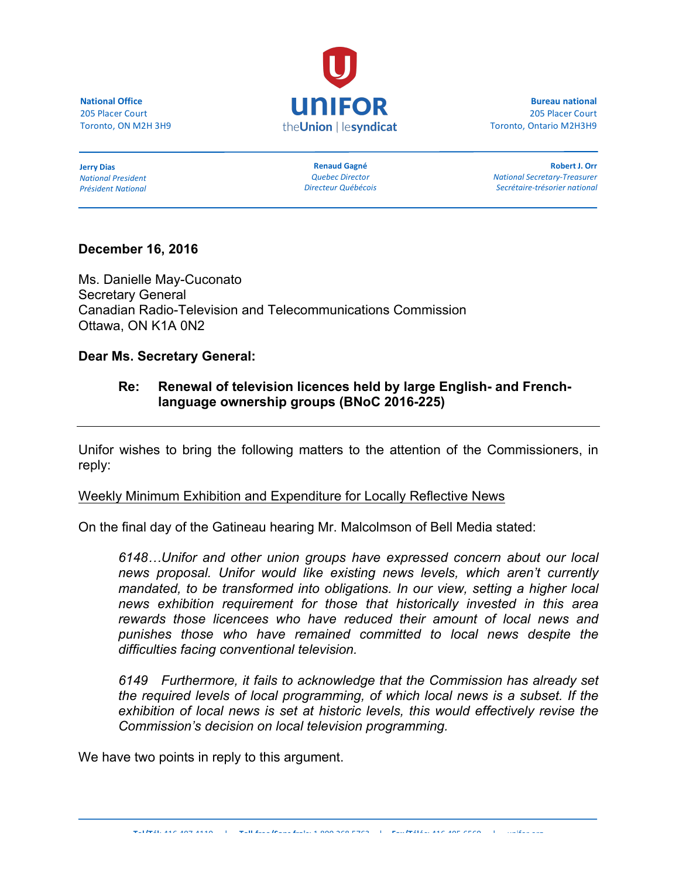**National Office** 205 Placer Court Toronto, ON M2H 3H9



**Bureau national** 205 Placer Court Toronto, Ontario M2H3H9

**Jerry Dias** *National President Président National*

**Renaud Gagné** *Quebec Director Directeur Québécois*

**Robert J. Orr** *National Secretary-Treasurer Secrétaire-trésorier national*

# **December 16, 2016**

Ms. Danielle May-Cuconato Secretary General Canadian Radio-Television and Telecommunications Commission Ottawa, ON K1A 0N2

**Dear Ms. Secretary General:**

# **Re: Renewal of television licences held by large English- and Frenchlanguage ownership groups (BNoC 2016-225)**

Unifor wishes to bring the following matters to the attention of the Commissioners, in reply:

### Weekly Minimum Exhibition and Expenditure for Locally Reflective News

On the final day of the Gatineau hearing Mr. Malcolmson of Bell Media stated:

*6148…Unifor and other union groups have expressed concern about our local news proposal. Unifor would like existing news levels, which aren't currently mandated, to be transformed into obligations. In our view, setting a higher local news exhibition requirement for those that historically invested in this area rewards those licencees who have reduced their amount of local news and punishes those who have remained committed to local news despite the difficulties facing conventional television.*

*6149 Furthermore, it fails to acknowledge that the Commission has already set the required levels of local programming, of which local news is a subset. If the exhibition of local news is set at historic levels, this would effectively revise the Commission's decision on local television programming.*

We have two points in reply to this argument.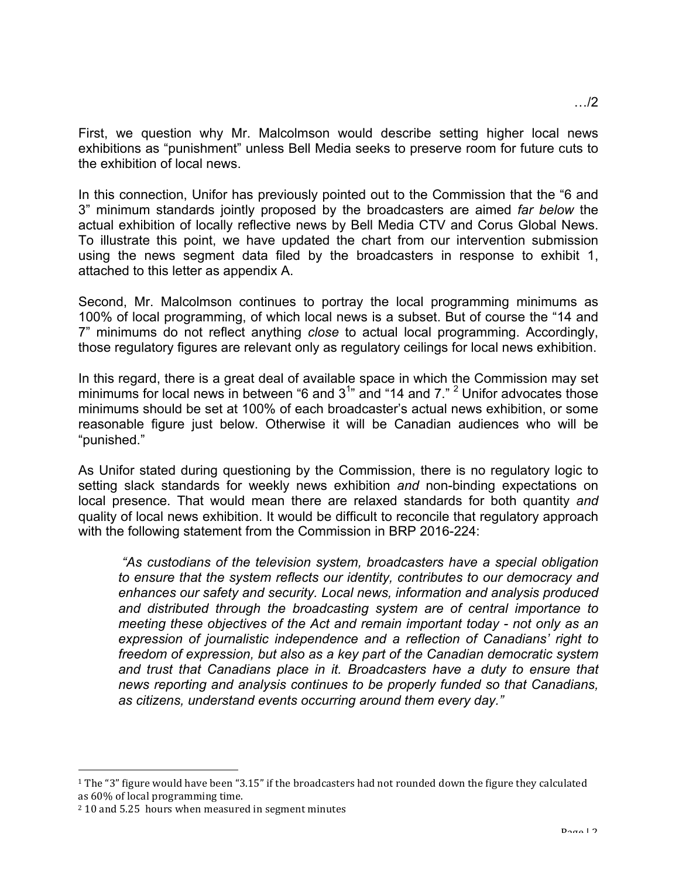First, we question why Mr. Malcolmson would describe setting higher local news exhibitions as "punishment" unless Bell Media seeks to preserve room for future cuts to the exhibition of local news.

In this connection, Unifor has previously pointed out to the Commission that the "6 and 3" minimum standards jointly proposed by the broadcasters are aimed *far below* the actual exhibition of locally reflective news by Bell Media CTV and Corus Global News. To illustrate this point, we have updated the chart from our intervention submission using the news segment data filed by the broadcasters in response to exhibit 1, attached to this letter as appendix A.

Second, Mr. Malcolmson continues to portray the local programming minimums as 100% of local programming, of which local news is a subset. But of course the "14 and 7" minimums do not reflect anything *close* to actual local programming. Accordingly, those regulatory figures are relevant only as regulatory ceilings for local news exhibition.

In this regard, there is a great deal of available space in which the Commission may set minimums for local news in between "6 and  $3^{1}$ " and "14 and 7." <sup>2</sup> Unifor advocates those minimums should be set at 100% of each broadcaster's actual news exhibition, or some reasonable figure just below. Otherwise it will be Canadian audiences who will be "punished."

As Unifor stated during questioning by the Commission, there is no regulatory logic to setting slack standards for weekly news exhibition *and* non-binding expectations on local presence. That would mean there are relaxed standards for both quantity *and*  quality of local news exhibition. It would be difficult to reconcile that regulatory approach with the following statement from the Commission in BRP 2016-224:

*"As custodians of the television system, broadcasters have a special obligation to ensure that the system reflects our identity, contributes to our democracy and enhances our safety and security. Local news, information and analysis produced and distributed through the broadcasting system are of central importance to meeting these objectives of the Act and remain important today - not only as an expression of journalistic independence and a reflection of Canadians' right to freedom of expression, but also as a key part of the Canadian democratic system and trust that Canadians place in it. Broadcasters have a duty to ensure that news reporting and analysis continues to be properly funded so that Canadians, as citizens, understand events occurring around them every day."*

 

 $1$  The "3" figure would have been "3.15" if the broadcasters had not rounded down the figure they calculated as 60% of local programming time.

<sup>&</sup>lt;sup>2</sup> 10 and 5.25 hours when measured in segment minutes